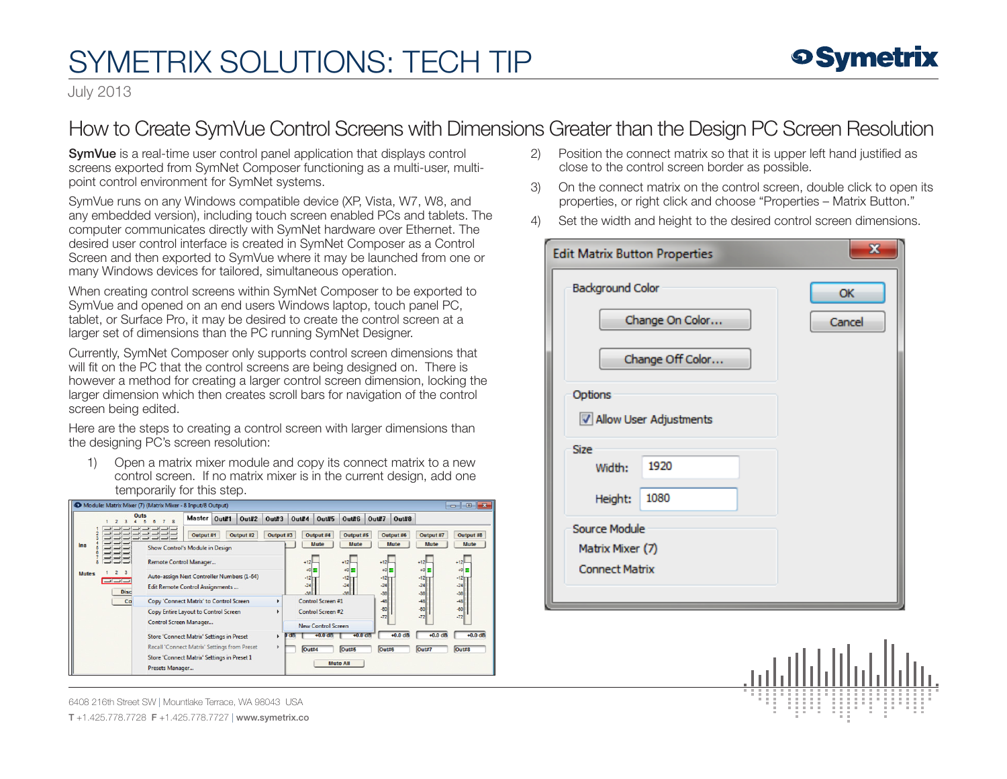## SYMETRIX SOLUTIONS: TECH TIP

## **o Symetrix**

July 2013

## How to Create SymVue Control Screens with Dimensions Greater than the Design PC Screen Resolution

SymVue is a real-time user control panel application that displays control screens exported from SymNet Composer functioning as a multi-user, multipoint control environment for SymNet systems.

SymVue runs on any Windows compatible device (XP, Vista, W7, W8, and any embedded version), including touch screen enabled PCs and tablets. The computer communicates directly with SymNet hardware over Ethernet. The desired user control interface is created in SymNet Composer as a Control Screen and then exported to SymVue where it may be launched from one or many Windows devices for tailored, simultaneous operation.

When creating control screens within SymNet Composer to be exported to SymVue and opened on an end users Windows laptop, touch panel PC, tablet, or Surface Pro, it may be desired to create the control screen at a larger set of dimensions than the PC running SymNet Designer.

Currently, SymNet Composer only supports control screen dimensions that will fit on the PC that the control screens are being designed on. There is however a method for creating a larger control screen dimension, locking the larger dimension which then creates scroll bars for navigation of the control screen being edited.

Here are the steps to creating a control screen with larger dimensions than the designing PC's screen resolution:

1) Open a matrix mixer module and copy its connect matrix to a new control screen. If no matrix mixer is in the current design, add one temporarily for this step.

| Module: Matrix Mixer (7) (Matrix Mixer - 8 Input/8 Output)<br>⋴<br>- |                                                                                                                                                                                                                                                                                                                                                                                                                                                                                                                                                |  |  |  |  |  |  |
|----------------------------------------------------------------------|------------------------------------------------------------------------------------------------------------------------------------------------------------------------------------------------------------------------------------------------------------------------------------------------------------------------------------------------------------------------------------------------------------------------------------------------------------------------------------------------------------------------------------------------|--|--|--|--|--|--|
|                                                                      | Outs<br>Master Out#1<br><b>Out#2</b><br><b>Out#5</b><br>Out#7<br>$0$ ut#8<br>Out#3<br>Out#6<br>Qut#4                                                                                                                                                                                                                                                                                                                                                                                                                                           |  |  |  |  |  |  |
| Ins<br>$\overline{2}$<br><b>Mutes</b><br><b>FEE</b>                  | Output #7<br>Output #1<br>Output #2<br>Output #3<br>Output #4<br>Output #5<br>Output #6<br>Output #8<br><b>Mute</b><br><b>Mute</b><br>Mute<br><b>Mute</b><br><b>Mute</b><br>Show Control's Module in Design<br>$+12$<br>$+12$<br>$+12$<br>Remote Control Manager<br>$+12$<br>$+12$<br>$+01 =$<br>$+0 =$<br>$+01 =$<br>$+0\equiv$<br>$+0 =$<br>$\mathbf{3}$<br>Auto-assign Next Controller Numbers (1-64)<br>$-12 =$<br>$-12$<br>$-12$<br>$-12$<br>$-12$<br>$-24$<br>$-24$<br>$-24$<br>$-24$<br>$-24$<br><b>Edit Remote Control Assignments</b> |  |  |  |  |  |  |
| <b>Disc</b>                                                          | .38<br>$-36$<br>38<br>$-36$<br>$-38$<br>Copy 'Connect Matrix' to Control Screen<br>Control Screen #1<br>$-48$<br>Co<br>$-48$<br>$-48$<br>٠                                                                                                                                                                                                                                                                                                                                                                                                     |  |  |  |  |  |  |
|                                                                      | $-60$<br>$-80$<br>$-60$<br>Control Screen #2<br>Copy Entire Layout to Control Screen<br>$\ddot{\phantom{1}}$<br>$-72$<br>$-72$<br>$-72$<br>Control Screen Manager<br><b>New Control Screen</b>                                                                                                                                                                                                                                                                                                                                                 |  |  |  |  |  |  |
|                                                                      | $+0.0$ dB<br>$+0.0$ dB<br>$+0.0$ dB<br>$+0.0$ dB<br>$+0.0$ dB<br><b>Store 'Connect Matrix' Settings in Preset</b><br>oв<br>Recall 'Connect Matrix' Settings from Preset<br>Out#8<br>Out#7<br>Out#4<br>Out#5<br>Out#6<br>Store 'Connect Matrix' Settings in Preset 1<br><b>Mute All</b><br>Presets Manager                                                                                                                                                                                                                                      |  |  |  |  |  |  |

6408 216th Street SW | Mountlake Terrace, WA 98043 USA

T +1.425.778.7728 F +1.425.778.7727 | www.symetrix.co

- 2) Position the connect matrix so that it is upper left hand justified as close to the control screen border as possible.
- 3) On the connect matrix on the control screen, double click to open its properties, or right click and choose "Properties – Matrix Button."
- 4) Set the width and height to the desired control screen dimensions.

| $\mathbf{x}$<br><b>Edit Matrix Button Properties</b>              |                          |  |        |  |  |  |
|-------------------------------------------------------------------|--------------------------|--|--------|--|--|--|
| <b>Background Color</b>                                           |                          |  | OK     |  |  |  |
|                                                                   | Change On Color          |  | Cancel |  |  |  |
| Change Off Color                                                  |                          |  |        |  |  |  |
| Options                                                           | V Allow User Adjustments |  |        |  |  |  |
| <b>Size</b><br>Width:                                             | 1920                     |  |        |  |  |  |
| Height:                                                           | 1080                     |  |        |  |  |  |
| <b>Source Module</b><br>Matrix Mixer (7)<br><b>Connect Matrix</b> |                          |  |        |  |  |  |